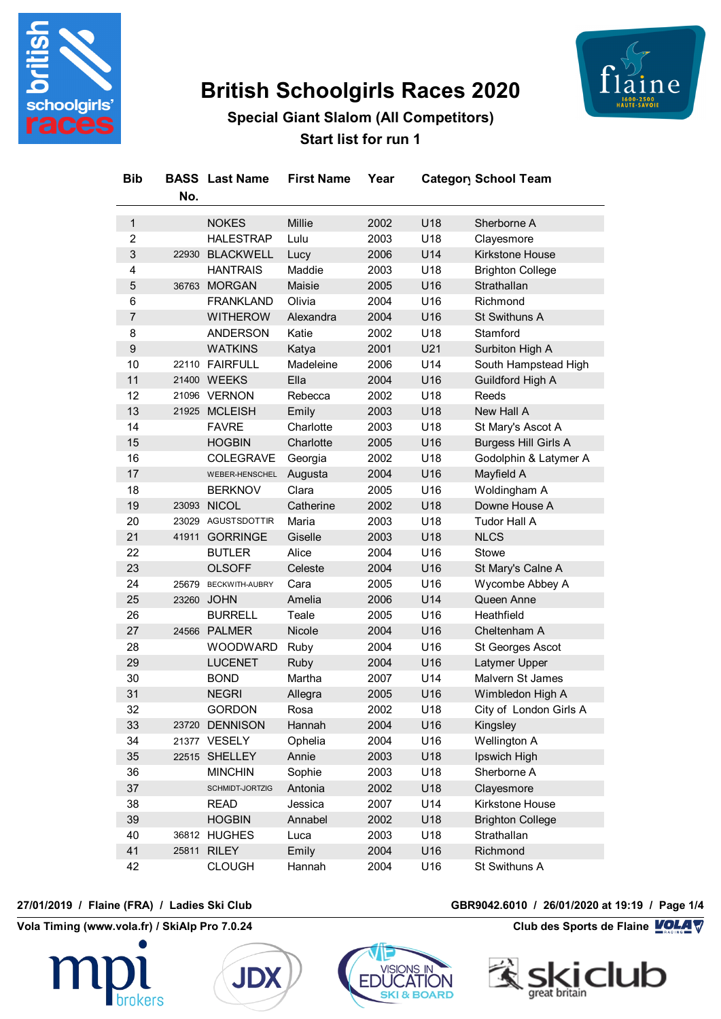

# **British Schoolgirls Races 2020**



**Special Giant Slalom (All Competitors) Start list for run 1**

| <b>Bib</b>                | No.   | <b>BASS</b> Last Name | <b>First Name</b> | Year |     | Category School Team        |
|---------------------------|-------|-----------------------|-------------------|------|-----|-----------------------------|
| $\mathbf{1}$              |       | <b>NOKES</b>          | Millie            | 2002 | U18 | Sherborne A                 |
| $\overline{2}$            |       | <b>HALESTRAP</b>      | Lulu              | 2003 | U18 | Clayesmore                  |
| $\ensuremath{\mathsf{3}}$ | 22930 | <b>BLACKWELL</b>      | Lucy              | 2006 | U14 | Kirkstone House             |
| 4                         |       | <b>HANTRAIS</b>       | Maddie            | 2003 | U18 | <b>Brighton College</b>     |
| 5                         | 36763 | <b>MORGAN</b>         | Maisie            | 2005 | U16 | Strathallan                 |
| 6                         |       | <b>FRANKLAND</b>      | Olivia            | 2004 | U16 | Richmond                    |
| $\overline{7}$            |       | <b>WITHEROW</b>       | Alexandra         | 2004 | U16 | St Swithuns A               |
| 8                         |       | <b>ANDERSON</b>       | Katie             | 2002 | U18 | Stamford                    |
| $\boldsymbol{9}$          |       | <b>WATKINS</b>        | Katya             | 2001 | U21 | Surbiton High A             |
| 10                        |       | 22110 FAIRFULL        | Madeleine         | 2006 | U14 | South Hampstead High        |
| 11                        |       | 21400 WEEKS           | Ella              | 2004 | U16 | Guildford High A            |
| 12                        |       | 21096 VERNON          | Rebecca           | 2002 | U18 | Reeds                       |
| 13                        |       | 21925 MCLEISH         | Emily             | 2003 | U18 | New Hall A                  |
| 14                        |       | <b>FAVRE</b>          | Charlotte         | 2003 | U18 | St Mary's Ascot A           |
| 15                        |       | <b>HOGBIN</b>         | Charlotte         | 2005 | U16 | <b>Burgess Hill Girls A</b> |
| 16                        |       | <b>COLEGRAVE</b>      | Georgia           | 2002 | U18 | Godolphin & Latymer A       |
| 17                        |       | WEBER-HENSCHEL        | Augusta           | 2004 | U16 | Mayfield A                  |
| 18                        |       | <b>BERKNOV</b>        | Clara             | 2005 | U16 | Woldingham A                |
| 19                        |       | 23093 NICOL           | Catherine         | 2002 | U18 | Downe House A               |
| 20                        |       | 23029 AGUSTSDOTTIR    | Maria             | 2003 | U18 | Tudor Hall A                |
| 21                        | 41911 | <b>GORRINGE</b>       | Giselle           | 2003 | U18 | <b>NLCS</b>                 |
| 22                        |       | <b>BUTLER</b>         | Alice             | 2004 | U16 | <b>Stowe</b>                |
| 23                        |       | <b>OLSOFF</b>         | Celeste           | 2004 | U16 | St Mary's Calne A           |
| 24                        | 25679 | BECKWITH-AUBRY        | Cara              | 2005 | U16 | Wycombe Abbey A             |
| 25                        |       | 23260 JOHN            | Amelia            | 2006 | U14 | Queen Anne                  |
| 26                        |       | <b>BURRELL</b>        | Teale             | 2005 | U16 | Heathfield                  |
| 27                        |       | 24566 PALMER          | Nicole            | 2004 | U16 | Cheltenham A                |
| 28                        |       | <b>WOODWARD</b>       | Ruby              | 2004 | U16 | St Georges Ascot            |
| 29                        |       | <b>LUCENET</b>        | <b>Ruby</b>       | 2004 | U16 | Latymer Upper               |
| 30                        |       | <b>BOND</b>           | Martha            | 2007 | U14 | Malvern St James            |
| 31                        |       | <b>NEGRI</b>          | Allegra           | 2005 | U16 | Wimbledon High A            |
| 32                        |       | <b>GORDON</b>         | Rosa              | 2002 | U18 | City of London Girls A      |
| 33                        |       | 23720 DENNISON        | Hannah            | 2004 | U16 | Kingsley                    |
| 34                        |       | 21377 VESELY          | Ophelia           | 2004 | U16 | Wellington A                |
| 35                        |       | 22515 SHELLEY         | Annie             | 2003 | U18 | Ipswich High                |
| 36                        |       | <b>MINCHIN</b>        | Sophie            | 2003 | U18 | Sherborne A                 |
| 37                        |       | SCHMIDT-JORTZIG       | Antonia           | 2002 | U18 | Clayesmore                  |
| 38                        |       | <b>READ</b>           | Jessica           | 2007 | U14 | Kirkstone House             |
| 39                        |       | <b>HOGBIN</b>         | Annabel           | 2002 | U18 | <b>Brighton College</b>     |
| 40                        |       | 36812 HUGHES          | Luca              | 2003 | U18 | Strathallan                 |
| 41                        | 25811 | <b>RILEY</b>          | Emily             | 2004 | U16 | Richmond                    |
| 42                        |       | <b>CLOUGH</b>         | Hannah            | 2004 | U16 | St Swithuns A               |

**Vola Timing (www.vola.fr) / SkiAlp Pro 7.0.24 Club des Sports de Flaine VOLA V** 







#### **27/01/2019 / Flaine (FRA) / Ladies Ski Club GBR9042.6010 / 26/01/2020 at 19:19 / Page 1/4**

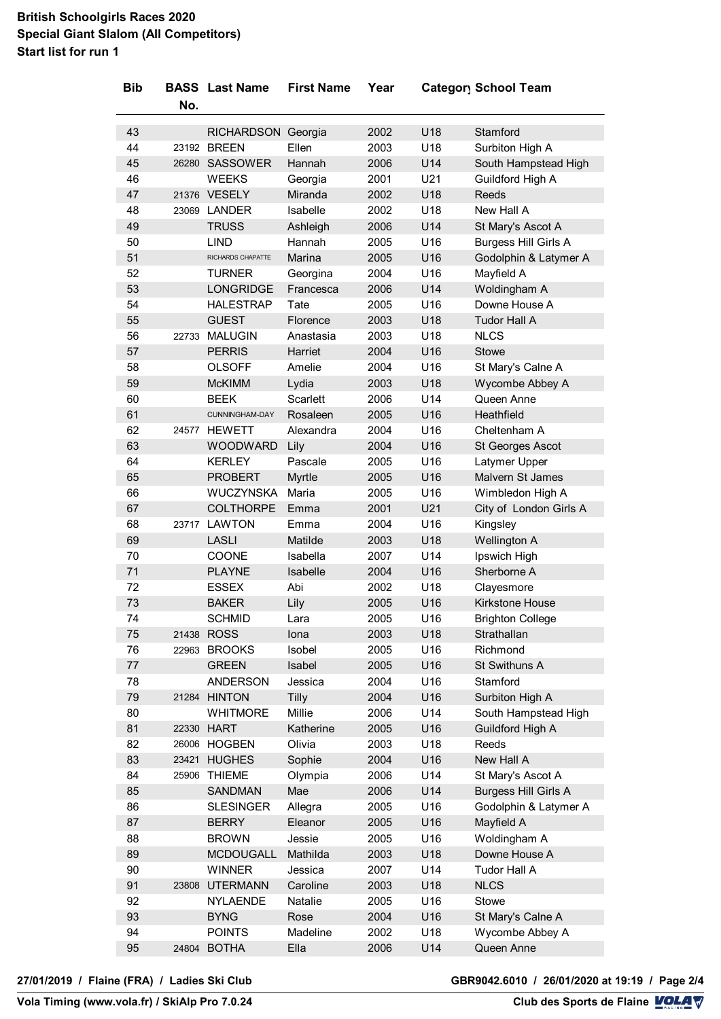### **British Schoolgirls Races 2020 Special Giant Slalom (All Competitors) Start list for run 1**

| <b>Bib</b> |       | <b>BASS</b> Last Name | <b>First Name</b> | Year |     | Category School Team        |
|------------|-------|-----------------------|-------------------|------|-----|-----------------------------|
|            | No.   |                       |                   |      |     |                             |
|            |       |                       |                   |      |     |                             |
| 43         |       | RICHARDSON Georgia    |                   | 2002 | U18 | Stamford                    |
| 44         |       | 23192 BREEN           | Ellen             | 2003 | U18 | Surbiton High A             |
| 45         |       | 26280 SASSOWER        | Hannah            | 2006 | U14 | South Hampstead High        |
| 46         |       | <b>WEEKS</b>          | Georgia           | 2001 | U21 | Guildford High A            |
| 47         |       | 21376 VESELY          | Miranda           | 2002 | U18 | Reeds                       |
| 48         |       | 23069 LANDER          | Isabelle          | 2002 | U18 | New Hall A                  |
| 49         |       | <b>TRUSS</b>          | Ashleigh          | 2006 | U14 | St Mary's Ascot A           |
| 50         |       | <b>LIND</b>           | Hannah            | 2005 | U16 | <b>Burgess Hill Girls A</b> |
| 51         |       | RICHARDS CHAPATTE     | <b>Marina</b>     | 2005 | U16 | Godolphin & Latymer A       |
| 52         |       | <b>TURNER</b>         | Georgina          | 2004 | U16 | Mayfield A                  |
| 53         |       | <b>LONGRIDGE</b>      | Francesca         | 2006 | U14 | Woldingham A                |
| 54         |       | <b>HALESTRAP</b>      | Tate              | 2005 | U16 | Downe House A               |
| 55         |       | <b>GUEST</b>          | Florence          | 2003 | U18 | <b>Tudor Hall A</b>         |
| 56         |       | 22733 MALUGIN         | Anastasia         | 2003 | U18 | <b>NLCS</b>                 |
| 57         |       | <b>PERRIS</b>         | Harriet           | 2004 | U16 | Stowe                       |
| 58         |       | <b>OLSOFF</b>         | Amelie            | 2004 | U16 | St Mary's Calne A           |
| 59         |       | <b>McKIMM</b>         | Lydia             | 2003 | U18 | Wycombe Abbey A             |
| 60         |       | <b>BEEK</b>           | Scarlett          | 2006 | U14 | Queen Anne                  |
| 61         |       | CUNNINGHAM-DAY        | Rosaleen          | 2005 | U16 | Heathfield                  |
| 62         |       | 24577 HEWETT          | Alexandra         | 2004 | U16 | Cheltenham A                |
| 63         |       | <b>WOODWARD</b>       | Lily              | 2004 | U16 | St Georges Ascot            |
| 64         |       | <b>KERLEY</b>         | Pascale           | 2005 | U16 | Latymer Upper               |
| 65         |       | <b>PROBERT</b>        | Myrtle            | 2005 | U16 | Malvern St James            |
| 66         |       | WUCZYNSKA             | Maria             | 2005 | U16 | Wimbledon High A            |
| 67         |       | <b>COLTHORPE</b>      | Emma              | 2001 | U21 | City of London Girls A      |
| 68         |       | 23717 LAWTON          | Emma              | 2004 | U16 | Kingsley                    |
| 69         |       | <b>LASLI</b>          | Matilde           | 2003 | U18 | Wellington A                |
| 70         |       | <b>COONE</b>          | Isabella          | 2007 | U14 | Ipswich High                |
| 71         |       | <b>PLAYNE</b>         | Isabelle          | 2004 | U16 | Sherborne A                 |
| 72         |       | <b>ESSEX</b>          | Abi               | 2002 | U18 | Clayesmore                  |
| 73         |       | <b>BAKER</b>          | Lily              | 2005 | U16 | Kirkstone House             |
| 74         |       | SCHMID                | Lara              | 2005 | U16 | <b>Brighton College</b>     |
| 75         |       | 21438 ROSS            | lona              | 2003 | U18 | Strathallan                 |
| 76         |       | 22963 BROOKS          | Isobel            | 2005 | U16 | Richmond                    |
| $77\,$     |       | <b>GREEN</b>          | Isabel            | 2005 | U16 | St Swithuns A               |
| 78         |       | <b>ANDERSON</b>       | Jessica           | 2004 | U16 | Stamford                    |
| 79         |       | 21284 HINTON          | Tilly             | 2004 | U16 | Surbiton High A             |
| 80         |       | <b>WHITMORE</b>       | Millie            | 2006 | U14 | South Hampstead High        |
| 81         |       | 22330 HART            | Katherine         | 2005 | U16 | Guildford High A            |
| 82         |       | 26006 HOGBEN          | Olivia            | 2003 | U18 | Reeds                       |
| 83         |       | 23421 HUGHES          | Sophie            | 2004 | U16 | New Hall A                  |
| 84         | 25906 | <b>THIEME</b>         |                   | 2006 | U14 | St Mary's Ascot A           |
|            |       |                       | Olympia           |      |     |                             |
| 85         |       | <b>SANDMAN</b>        | Mae               | 2006 | U14 | <b>Burgess Hill Girls A</b> |
| 86         |       | <b>SLESINGER</b>      | Allegra           | 2005 | U16 | Godolphin & Latymer A       |
| 87         |       | <b>BERRY</b>          | Eleanor           | 2005 | U16 | Mayfield A                  |
| 88         |       | <b>BROWN</b>          | Jessie            | 2005 | U16 | Woldingham A                |
| 89         |       | <b>MCDOUGALL</b>      | Mathilda          | 2003 | U18 | Downe House A               |
| 90         |       | <b>WINNER</b>         | Jessica           | 2007 | U14 | Tudor Hall A                |
| 91         |       | 23808 UTERMANN        | Caroline          | 2003 | U18 | <b>NLCS</b>                 |
| 92         |       | <b>NYLAENDE</b>       | Natalie           | 2005 | U16 | Stowe                       |
| 93         |       | <b>BYNG</b>           | Rose              | 2004 | U16 | St Mary's Calne A           |
| 94         |       | <b>POINTS</b>         | Madeline          | 2002 | U18 | Wycombe Abbey A             |
| 95         | 24804 | <b>BOTHA</b>          | Ella              | 2006 | U14 | Queen Anne                  |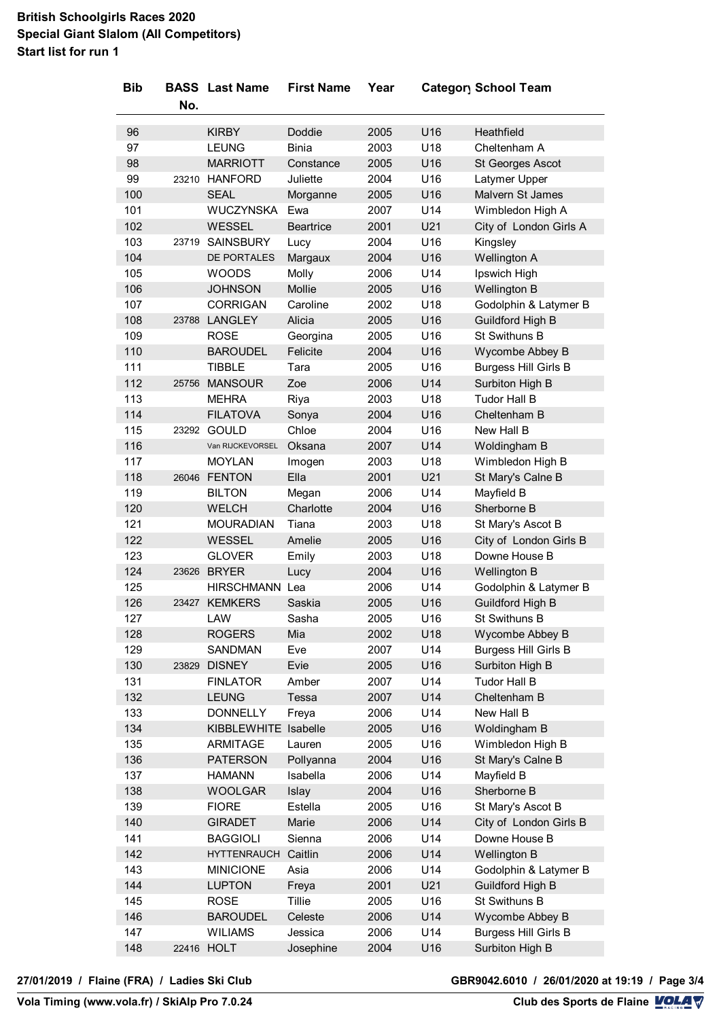### **British Schoolgirls Races 2020 Special Giant Slalom (All Competitors) Start list for run 1**

| <b>Bib</b> |       | <b>BASS</b> Last Name | <b>First Name</b>  | Year |     | Category School Team                           |
|------------|-------|-----------------------|--------------------|------|-----|------------------------------------------------|
|            | No.   |                       |                    |      |     |                                                |
|            |       |                       |                    |      |     |                                                |
| 96         |       | <b>KIRBY</b>          | Doddie             | 2005 | U16 | Heathfield                                     |
| 97         |       | <b>LEUNG</b>          | <b>Binia</b>       | 2003 | U18 | Cheltenham A                                   |
| 98         |       | <b>MARRIOTT</b>       | Constance          | 2005 | U16 | St Georges Ascot                               |
| 99         |       | 23210 HANFORD         | Juliette           | 2004 | U16 | Latymer Upper                                  |
| 100        |       | <b>SEAL</b>           | Morganne           | 2005 | U16 | Malvern St James                               |
| 101        |       | <b>WUCZYNSKA</b>      | Ewa                | 2007 | U14 | Wimbledon High A                               |
| 102        |       | <b>WESSEL</b>         | <b>Beartrice</b>   | 2001 | U21 | City of London Girls A                         |
| 103        | 23719 | <b>SAINSBURY</b>      | Lucy               | 2004 | U16 | Kingsley                                       |
| 104        |       | DE PORTALES           | Margaux            | 2004 | U16 | Wellington A                                   |
| 105        |       | <b>WOODS</b>          | Molly              | 2006 | U14 | Ipswich High                                   |
| 106        |       | <b>JOHNSON</b>        | Mollie             | 2005 | U16 | Wellington B                                   |
| 107        |       | <b>CORRIGAN</b>       | Caroline           | 2002 | U18 | Godolphin & Latymer B                          |
| 108        |       | 23788 LANGLEY         | Alicia             | 2005 | U16 | Guildford High B                               |
| 109        |       | <b>ROSE</b>           | Georgina           | 2005 | U16 | St Swithuns B                                  |
| 110        |       | <b>BAROUDEL</b>       | Felicite           | 2004 | U16 | Wycombe Abbey B                                |
| 111        |       | <b>TIBBLE</b>         | Tara               | 2005 | U16 | <b>Burgess Hill Girls B</b>                    |
| 112        |       | 25756 MANSOUR         | Zoe                | 2006 | U14 | Surbiton High B                                |
| 113        |       | <b>MEHRA</b>          | Riya               | 2003 | U18 | <b>Tudor Hall B</b>                            |
| 114        |       | <b>FILATOVA</b>       | Sonya              | 2004 | U16 | Cheltenham B                                   |
| 115        |       | 23292 GOULD           | Chloe              | 2004 | U16 | New Hall B                                     |
| 116        |       | Van RIJCKEVORSEL      | Oksana             | 2007 | U14 | Woldingham B                                   |
| 117        |       | <b>MOYLAN</b>         | Imogen             | 2003 | U18 | Wimbledon High B                               |
| 118        |       | 26046 FENTON          | Ella               | 2001 | U21 | St Mary's Calne B                              |
| 119        |       | <b>BILTON</b>         | Megan              | 2006 | U14 | Mayfield B                                     |
| 120        |       | <b>WELCH</b>          | Charlotte          | 2004 | U16 | Sherborne B                                    |
| 121        |       | <b>MOURADIAN</b>      | Tiana              | 2003 | U18 | St Mary's Ascot B                              |
| 122        |       | <b>WESSEL</b>         | Amelie             | 2005 | U16 | City of London Girls B                         |
| 123        |       | <b>GLOVER</b>         | Emily              | 2003 | U18 | Downe House B                                  |
| 124        | 23626 | <b>BRYER</b>          | Lucy               | 2004 | U16 | Wellington B                                   |
| 125        |       | HIRSCHMANN Lea        |                    | 2006 | U14 | Godolphin & Latymer B                          |
| 126        |       | 23427 KEMKERS         | Saskia             | 2005 | U16 | <b>Guildford High B</b>                        |
| 127        |       | LAW                   | Sasha              | 2005 | U16 | St Swithuns B                                  |
| 128        |       | <b>ROGERS</b>         | Mia                | 2002 | U18 | Wycombe Abbey B                                |
| 129        |       | <b>SANDMAN</b>        | Eve                | 2007 | U14 | <b>Burgess Hill Girls B</b>                    |
| 130        | 23829 | <b>DISNEY</b>         | Evie               | 2005 | U16 | Surbiton High B                                |
| 131        |       | <b>FINLATOR</b>       | Amber              | 2007 | U14 | <b>Tudor Hall B</b>                            |
| 132        |       | <b>LEUNG</b>          | Tessa              | 2007 | U14 | Cheltenham B                                   |
| 133        |       | <b>DONNELLY</b>       | Freya              | 2006 | U14 | New Hall B                                     |
| 134        |       | KIBBLEWHITE Isabelle  |                    | 2005 | U16 | Woldingham B                                   |
| 135        |       | ARMITAGE              | Lauren             | 2005 | U16 | Wimbledon High B                               |
| 136        |       | <b>PATERSON</b>       | Pollyanna          | 2004 | U16 | St Mary's Calne B                              |
| 137        |       | <b>HAMANN</b>         | Isabella           | 2006 | U14 | Mayfield B                                     |
| 138        |       | <b>WOOLGAR</b>        | Islay              | 2004 | U16 | Sherborne B                                    |
| 139        |       | <b>FIORE</b>          | Estella            | 2005 | U16 | St Mary's Ascot B                              |
| 140        |       | <b>GIRADET</b>        | Marie              | 2006 | U14 | City of London Girls B                         |
| 141        |       | <b>BAGGIOLI</b>       | Sienna             | 2006 | U14 | Downe House B                                  |
| 142        |       | <b>HYTTENRAUCH</b>    | Caitlin            | 2006 | U14 | Wellington B                                   |
| 143        |       | <b>MINICIONE</b>      | Asia               | 2006 | U14 | Godolphin & Latymer B                          |
| 144        |       | <b>LUPTON</b>         | Freya              | 2001 | U21 | Guildford High B                               |
| 145        |       | <b>ROSE</b>           | Tillie             | 2005 | U16 | St Swithuns B                                  |
| 146        |       | <b>BAROUDEL</b>       |                    | 2006 | U14 | Wycombe Abbey B                                |
| 147        |       | <b>WILIAMS</b>        | Celeste<br>Jessica | 2006 | U14 |                                                |
| 148        |       |                       |                    |      |     | <b>Burgess Hill Girls B</b><br>Surbiton High B |
|            | 22416 | <b>HOLT</b>           | Josephine          | 2004 | U16 |                                                |

**VolaSoftControlPdf 27/01/2019 / Flaine (FRA) / Ladies Ski Club GBR9042.6010 / 26/01/2020 at 19:19 / Page 3/4**